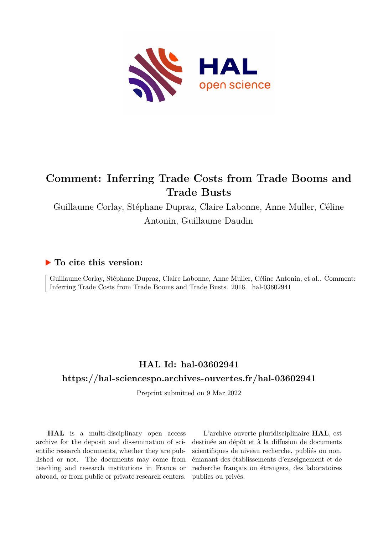

# **Comment: Inferring Trade Costs from Trade Booms and Trade Busts**

Guillaume Corlay, Stéphane Dupraz, Claire Labonne, Anne Muller, Céline Antonin, Guillaume Daudin

#### **To cite this version:**

Guillaume Corlay, Stéphane Dupraz, Claire Labonne, Anne Muller, Céline Antonin, et al.. Comment: Inferring Trade Costs from Trade Booms and Trade Busts. 2016. hal-03602941

### **HAL Id: hal-03602941**

#### **<https://hal-sciencespo.archives-ouvertes.fr/hal-03602941>**

Preprint submitted on 9 Mar 2022

**HAL** is a multi-disciplinary open access archive for the deposit and dissemination of scientific research documents, whether they are published or not. The documents may come from teaching and research institutions in France or abroad, or from public or private research centers.

L'archive ouverte pluridisciplinaire **HAL**, est destinée au dépôt et à la diffusion de documents scientifiques de niveau recherche, publiés ou non, émanant des établissements d'enseignement et de recherche français ou étrangers, des laboratoires publics ou privés.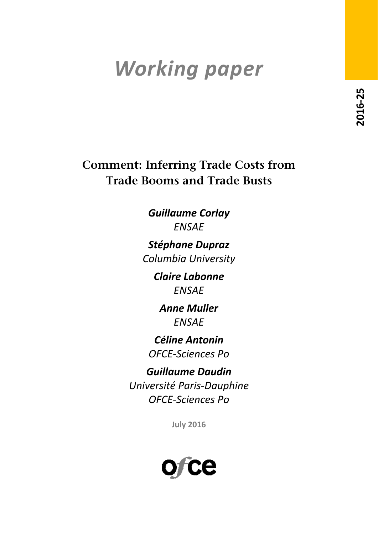# *Working paper*

**Comment: Inferring Trade Costs from Trade Booms and Trade Busts**

> *Guillaume Corlay ENSAE*

*Stéphane Dupraz Columbia University*

> *Claire Labonne ENSAE*

*Anne Muller ENSAE*

*Céline Antonin OFCE‐Sciences Po*

*Guillaume Daudin Université Paris‐Dauphine OFCE‐Sciences Po*

**July 2016**

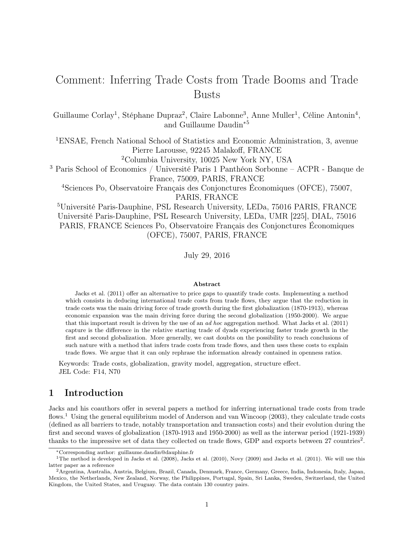## Comment: Inferring Trade Costs from Trade Booms and Trade Busts

Guillaume Corlay<sup>1</sup>, Stéphane Dupraz<sup>2</sup>, Claire Labonne<sup>3</sup>, Anne Muller<sup>1</sup>, Céline Antonin<sup>4</sup>, and Guillaume Daudin<sup>∗</sup><sup>5</sup>

<sup>1</sup>ENSAE, French National School of Statistics and Economic Administration, 3, avenue Pierre Larousse, 92245 Malakoff, FRANCE

<sup>2</sup>Columbia University, 10025 New York NY, USA

<sup>3</sup> Paris School of Economics / Université Paris 1 Panthéon Sorbonne – ACPR - Banque de France, 75009, PARIS, FRANCE

<sup>4</sup>Sciences Po, Observatoire Français des Conjonctures Économiques (OFCE), 75007, PARIS, FRANCE

<sup>5</sup>Université Paris-Dauphine, PSL Research University, LEDa, 75016 PARIS, FRANCE Université Paris-Dauphine, PSL Research University, LEDa, UMR [225], DIAL, 75016 PARIS, FRANCE Sciences Po, Observatoire Français des Conjonctures Économiques (OFCE), 75007, PARIS, FRANCE

July 29, 2016

#### Abstract

Jacks et al. (2011) offer an alternative to price gaps to quantify trade costs. Implementing a method which consists in deducing international trade costs from trade flows, they argue that the reduction in trade costs was the main driving force of trade growth during the first globalization (1870-1913), whereas economic expansion was the main driving force during the second globalization (1950-2000). We argue that this important result is driven by the use of an ad hoc aggregation method. What Jacks et al. (2011) capture is the difference in the relative starting trade of dyads experiencing faster trade growth in the first and second globalization. More generally, we cast doubts on the possibility to reach conclusions of such nature with a method that infers trade costs from trade flows, and then uses these costs to explain trade flows. We argue that it can only rephrase the information already contained in openness ratios.

Keywords: Trade costs, globalization, gravity model, aggregation, structure effect. JEL Code: F14, N70

#### 1 Introduction

Jacks and his coauthors offer in several papers a method for inferring international trade costs from trade flows.<sup>1</sup> Using the general equilibrium model of Anderson and van Wincoop (2003), they calculate trade costs (defined as all barriers to trade, notably transportation and transaction costs) and their evolution during the first and second waves of globalization (1870-1913 and 1950-2000) as well as the interwar period (1921-1939) thanks to the impressive set of data they collected on trade flows, GDP and exports between  $27$  countries<sup>2</sup>.

<sup>∗</sup>Corresponding author: guillaume.daudin@dauphine.fr

<sup>&</sup>lt;sup>1</sup>The method is developed in Jacks et al. (2008), Jacks et al. (2010), Novy (2009) and Jacks et al. (2011). We will use this latter paper as a reference

<sup>2</sup>Argentina, Australia, Austria, Belgium, Brazil, Canada, Denmark, France, Germany, Greece, India, Indonesia, Italy, Japan, Mexico, the Netherlands, New Zealand, Norway, the Philippines, Portugal, Spain, Sri Lanka, Sweden, Switzerland, the United Kingdom, the United States, and Uruguay. The data contain 130 country pairs.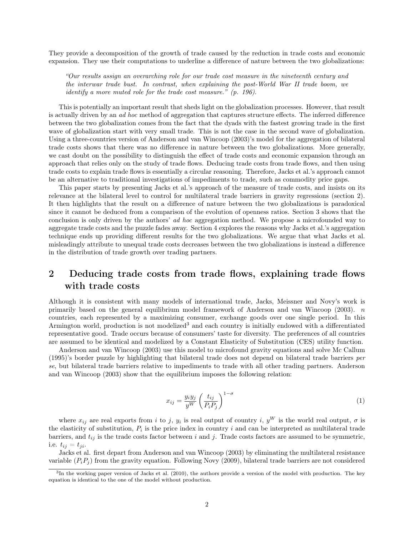They provide a decomposition of the growth of trade caused by the reduction in trade costs and economic expansion. They use their computations to underline a difference of nature between the two globalizations:

"Our results assign an overarching role for our trade cost measure in the nineteenth century and the interwar trade bust. In contrast, when explaining the post-World War II trade boom, we identify a more muted role for the trade cost measure." (p. 196).

This is potentially an important result that sheds light on the globalization processes. However, that result is actually driven by an ad hoc method of aggregation that captures structure effects. The inferred difference between the two globalization comes from the fact that the dyads with the fastest growing trade in the first wave of globalization start with very small trade. This is not the case in the second wave of globalization. Using a three-countries version of Anderson and van Wincoop (2003)'s model for the aggregation of bilateral trade costs shows that there was no difference in nature between the two globalizations. More generally, we cast doubt on the possibility to distinguish the effect of trade costs and economic expansion through an approach that relies only on the study of trade flows. Deducing trade costs from trade flows, and then using trade costs to explain trade flows is essentially a circular reasoning. Therefore, Jacks et al.'s approach cannot be an alternative to traditional investigations of impediments to trade, such as commodity price gaps.

This paper starts by presenting Jacks et al.'s approach of the measure of trade costs, and insists on its relevance at the bilateral level to control for multilateral trade barriers in gravity regressions (section 2). It then highlights that the result on a difference of nature between the two globalizations is paradoxical since it cannot be deduced from a comparison of the evolution of openness ratios. Section 3 shows that the conclusion is only driven by the authors' *ad hoc* aggregation method. We propose a microfounded way to aggregate trade costs and the puzzle fades away. Section 4 explores the reasons why Jacks et al.'s aggregation technique ends up providing different results for the two globalizations. We argue that what Jacks et al. misleadingly attribute to unequal trade costs decreases between the two globalizations is instead a difference in the distribution of trade growth over trading partners.

#### 2 Deducing trade costs from trade flows, explaining trade flows with trade costs

Although it is consistent with many models of international trade, Jacks, Meissner and Novy's work is primarily based on the general equilibrium model framework of Anderson and van Wincoop  $(2003)$ . n countries, each represented by a maximizing consumer, exchange goods over one single period. In this Armington world, production is not modelized<sup>3</sup> and each country is initially endowed with a differentiated representative good. Trade occurs because of consumers' taste for diversity. The preferences of all countries are assumed to be identical and modelized by a Constant Elasticity of Substitution (CES) utility function.

Anderson and van Wincoop (2003) use this model to microfound gravity equations and solve Mc Callum (1995)'s border puzzle by highlighting that bilateral trade does not depend on bilateral trade barriers per se, but bilateral trade barriers relative to impediments to trade with all other trading partners. Anderson and van Wincoop (2003) show that the equilibrium imposes the following relation:

$$
x_{ij} = \frac{y_i y_j}{y^W} \left(\frac{t_{ij}}{P_i P_j}\right)^{1-\sigma} \tag{1}
$$

where  $x_{ij}$  are real exports from i to j,  $y_i$  is real output of country i,  $y^W$  is the world real output,  $\sigma$  is the elasticity of substitution,  $P_i$  is the price index in country i and can be interpreted as multilateral trade barriers, and  $t_{ij}$  is the trade costs factor between i and j. Trade costs factors are assumed to be symmetric, i.e.  $t_{ij} = t_{ji}$ .

Jacks et al. first depart from Anderson and van Wincoop (2003) by eliminating the multilateral resistance variable  $(P_iP_j)$  from the gravity equation. Following Novy (2009), bilateral trade barriers are not considered

<sup>&</sup>lt;sup>3</sup>In the working paper version of Jacks et al. (2010), the authors provide a version of the model with production. The key equation is identical to the one of the model without production.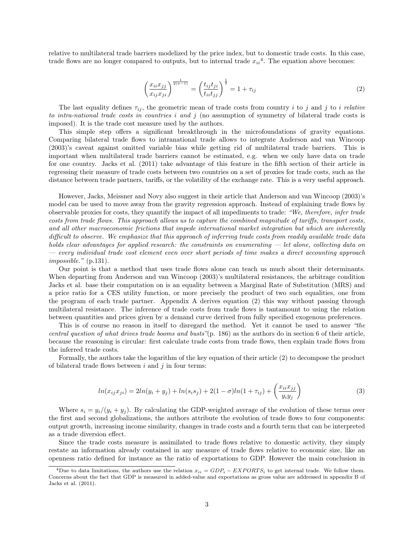relative to multilateral trade barriers modelized by the price index, but to domestic trade costs. In this case, trade flows are no longer compared to outputs, but to internal trade  $x_{ii}^4$ . The equation above becomes:

$$
\left(\frac{x_{ii}x_{jj}}{x_{ij}x_{ji}}\right)^{\frac{1}{2(\sigma-1)}} = \left(\frac{t_{ij}t_{ji}}{t_{ii}t_{jj}}\right)^{\frac{1}{2}} = 1 + \tau_{ij}
$$
\n(2)

The last equality defines  $\tau_{ij}$ , the geometric mean of trade costs from country i to j and j to i relative to intra-national trade costs in countries i and j (no assumption of symmetry of bilateral trade costs is imposed). It is the trade cost measure used by the authors.

This simple step offers a significant breakthrough in the microfoundations of gravity equations. Comparing bilateral trade flows to intranational trade allows to integrate Anderson and van Wincoop (2003)'s caveat against omitted variable bias while getting rid of multilateral trade barriers. This is important when multilateral trade barriers cannot be estimated, e.g. when we only have data on trade for one country. Jacks et al. (2011) take advantage of this feature in the fifth section of their article in regressing their measure of trade costs between two countries on a set of proxies for trade costs, such as the distance between trade partners, tariffs, or the volatility of the exchange rate. This is a very useful approach.

However, Jacks, Meissner and Novy also suggest in their article that Anderson and van Wincoop (2003)'s model can be used to move away from the gravity regression approach. Instead of explaining trade flows by observable proxies for costs, they quantify the impact of all impediments to trade: "We, therefore, infer trade costs from trade flows. This approach allows us to capture the combined magnitude of tariffs, transport costs, and all other macroeconomic frictions that impede international market integration but which are inherently difficult to observe. We emphasize that this approach of inferring trade costs from readily available trade data holds clear advantages for applied research: the constraints on enumerating  $-$  let alone, collecting data on — every individual trade cost element even over short periods of time makes a direct accounting approach impossible." (p.131).

Our point is that a method that uses trade flows alone can teach us much about their determinants. When departing from Anderson and van Wincoop (2003)'s multilateral resistances, the arbitrage condition Jacks et al. base their computation on is an equality between a Marginal Rate of Substitution (MRS) and a price ratio for a CES utility function, or more precisely the product of two such equalities, one from the program of each trade partner. Appendix A derives equation (2) this way without passing through multilateral resistance. The inference of trade costs from trade flows is tantamount to using the relation between quantities and prices given by a demand curve derived from fully specified exogenous preferences.

This is of course no reason in itself to disregard the method. Yet it cannot be used to answer "the central question of what drives trade booms and busts"(p. 186) as the authors do in section 6 of their article, because the reasoning is circular: first calculate trade costs from trade flows, then explain trade flows from the inferred trade costs.

Formally, the authors take the logarithm of the key equation of their article (2) to decompose the product of bilateral trade flows between  $i$  and  $j$  in four terms:

$$
ln(x_{ij}x_{ji}) = 2ln(y_i + y_j) + ln(s_i s_j) + 2(1 - \sigma)ln(1 + \tau_{ij}) + \left(\frac{x_{ii}x_{jj}}{y_i y_j}\right)
$$
(3)

Where  $s_i = y_i/(y_i + y_j)$ . By calculating the GDP-weighted average of the evolution of these terms over the first and second globalizations, the authors attribute the evolution of trade flows to four components: output growth, increasing income similarity, changes in trade costs and a fourth term that can be interpreted as a trade diversion effect.

Since the trade costs measure is assimilated to trade flows relative to domestic activity, they simply restate an information already contained in any measure of trade flows relative to economic size, like an openness ratio defined for instance as the ratio of exportations to GDP. However the main conclusion in

<sup>&</sup>lt;sup>4</sup>Due to data limitations, the authors use the relation  $x_{ii} = GDP_i - EXPORTS_i$  to get internal trade. We follow them. Concerns about the fact that GDP is measured in added-value and exportations as gross value are addressed in appendix B of Jacks et al. (2011).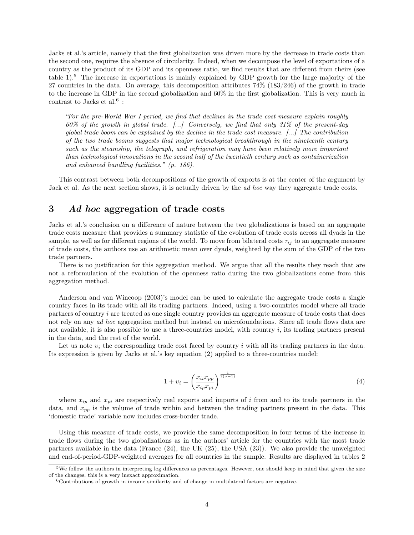Jacks et al.'s article, namely that the first globalization was driven more by the decrease in trade costs than the second one, requires the absence of circularity. Indeed, when we decompose the level of exportations of a country as the product of its GDP and its openness ratio, we find results that are different from theirs (see table 1).<sup>5</sup> The increase in exportations is mainly explained by GDP growth for the large majority of the 27 countries in the data. On average, this decomposition attributes 74% (183/246) of the growth in trade to the increase in GDP in the second globalization and 60% in the first globalization. This is very much in contrast to Jacks et al.<sup>6</sup> :

"For the pre-World War I period, we find that declines in the trade cost measure explain roughly  $60\%$  of the growth in global trade.  $[\ldots]$  Conversely, we find that only 31% of the present-day global trade boom can be explained by the decline in the trade cost measure. [...] The contribution of the two trade booms suggests that major technological breakthrough in the nineteenth century such as the steamship, the telegraph, and refrigeration may have been relatively more important than technological innovations in the second half of the twentieth century such as containerization and enhanced handling facilities." (p. 186).

This contrast between both decompositions of the growth of exports is at the center of the argument by Jack et al. As the next section shows, it is actually driven by the ad hoc way they aggregate trade costs.

#### 3 Ad hoc aggregation of trade costs

Jacks et al.'s conclusion on a difference of nature between the two globalizations is based on an aggregate trade costs measure that provides a summary statistic of the evolution of trade costs across all dyads in the sample, as well as for different regions of the world. To move from bilateral costs  $\tau_{ij}$  to an aggregate measure of trade costs, the authors use an arithmetic mean over dyads, weighted by the sum of the GDP of the two trade partners.

There is no justification for this aggregation method. We argue that all the results they reach that are not a reformulation of the evolution of the openness ratio during the two globalizations come from this aggregation method.

Anderson and van Wincoop (2003)'s model can be used to calculate the aggregate trade costs a single country faces in its trade with all its trading partners. Indeed, using a two-countries model where all trade partners of country i are treated as one single country provides an aggregate measure of trade costs that does not rely on any ad hoc aggregation method but instead on microfoundations. Since all trade flows data are not available, it is also possible to use a three-countries model, with country  $i$ , its trading partners present in the data, and the rest of the world.

Let us note  $v_i$  the corresponding trade cost faced by country i with all its trading partners in the data. Its expression is given by Jacks et al.'s key equation (2) applied to a three-countries model:

$$
1 + \upsilon_i = \left(\frac{x_{ii}x_{pp}}{x_{ip}x_{pi}}\right)^{\frac{1}{2(\sigma - 1)}}\tag{4}
$$

where  $x_{ip}$  and  $x_{pi}$  are respectively real exports and imports of i from and to its trade partners in the data, and  $x_{pp}$  is the volume of trade within and between the trading partners present in the data. This 'domestic trade' variable now includes cross-border trade.

Using this measure of trade costs, we provide the same decomposition in four terms of the increase in trade flows during the two globalizations as in the authors' article for the countries with the most trade partners available in the data (France (24), the UK (25), the USA (23)). We also provide the unweighted and end-of-period-GDP-weighted averages for all countries in the sample. Results are displayed in tables 2

 $5$ We follow the authors in interpreting log differences as percentages. However, one should keep in mind that given the size of the changes, this is a very inexact approximation.

 $6$ Contributions of growth in income similarity and of change in multilateral factors are negative.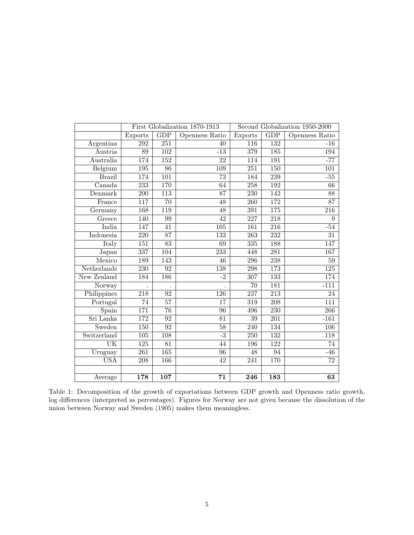|                            | First Globalization 1870-1913 |                  |                       | Second Globalization 1950-2000 |                  |                  |
|----------------------------|-------------------------------|------------------|-----------------------|--------------------------------|------------------|------------------|
|                            | <b>Exports</b>                | GDP              | <b>Openness Ratio</b> | Exports                        | GDP              | Openness Ratio   |
| Argentina                  | 292                           | 251              | 40                    | 116                            | 132              | $-16$            |
| Austria                    | $\overline{89}$               | $\overline{102}$ | $-13$                 | 379                            | $\overline{185}$ | 194              |
| Australia                  | 174                           | 152              | $\overline{22}$       | 114                            | 191              | $-77$            |
| Belgium                    | 195                           | 86               | 109                   | 251                            | 150              | 101              |
| <b>Brazil</b>              | 174                           | $\overline{101}$ | $\overline{73}$       | 184                            | $\overline{239}$ | $-55$            |
| $\overline{\text{Canada}}$ | 233                           | 170              | 64                    | 258                            | 192              | 66               |
| Denmark                    | 200                           | 113              | 87                    | 230                            | 142              | $\overline{88}$  |
| France                     | $\overline{117}$              | $\overline{70}$  | $\overline{48}$       | $\overline{260}$               | 172              | 87               |
| Germany                    | 168                           | 119              | $\overline{48}$       | $\overline{391}$               | 175              | 216              |
| Greece                     | 140                           | 99               | $\overline{42}$       | 227                            | 218              | 9                |
| India                      | 147                           | 41               | 105                   | 161                            | 216              | $-54$            |
| <b>Indonesia</b>           | 220                           | 87               | 133                   | 263                            | 232              | 31               |
| Italy                      | $\overline{151}$              | 83               | 69                    | 335                            | 188              | 147              |
| Japan                      | 337                           | 104              | 233                   | 448                            | 281              | 167              |
| Mexico                     | 189                           | 143              | 46                    | 296                            | 238              | $\overline{59}$  |
| Netherlands                | 230                           | 92               | 138                   | 298                            | 173              | 125              |
| New Zealand                | 184                           | 186              | $-2$                  | $\overline{307}$               | 133              | 174              |
| Norway                     |                               |                  |                       | 70                             | 181              | $-111$           |
| Philippines                | 218                           | 92               | $\overline{126}$      | 237                            | 213              | 24               |
| Portugal                   | $\overline{74}$               | $\overline{57}$  | $\overline{17}$       | $\overline{319}$               | $\overline{208}$ | $\overline{111}$ |
| Spain                      | 171                           | 76               | 96                    | 496                            | 230              | $\overline{266}$ |
| Sri Lanka                  | $\overline{172}$              | $\overline{92}$  | $\overline{81}$       | 39                             | 201              | $-161$           |
| Sweden                     | $\overline{150}$              | $\overline{92}$  | $\overline{58}$       | $\overline{240}$               | 134              | $\overline{106}$ |
| Switzerland                | 105                           | 108              | $-3$                  | 250                            | 132              | 118              |
| $\overline{\text{UK}}$     | $\overline{125}$              | $\overline{81}$  | $\overline{44}$       | 196                            | 122              | $\overline{74}$  |
| Uruguay                    | $\overline{261}$              | 165              | $\overline{96}$       | 48                             | 94               | $-46$            |
| <b>USA</b>                 | 208                           | 166              | $\overline{42}$       | 241                            | 170              | 72               |
|                            |                               |                  |                       |                                |                  |                  |
| Average                    | 178                           | 107              | 71                    | 246                            | 183              | 63               |

Table 1: Decomposition of the growth of exportations between GDP growth and Openness ratio growth, log differences (interpreted as percentages). Figures for Norway are not given because the dissolution of the union between Norway and Sweden (1905) makes them meaningless.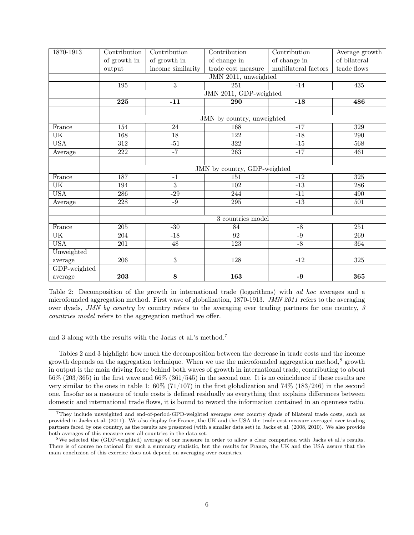| 1870-1913               | Contribution                 | Contribution      | Contribution                          | Contribution         | Average growth   |  |  |  |
|-------------------------|------------------------------|-------------------|---------------------------------------|----------------------|------------------|--|--|--|
|                         | of growth in                 | of growth in      | of change in                          | of change in         | of bilateral     |  |  |  |
|                         | output                       | income similarity | $\operatorname{trade\ cost\ measure}$ | multilateral factors | trade flows      |  |  |  |
|                         | JMN 2011, unweighted         |                   |                                       |                      |                  |  |  |  |
| 195                     |                              | $\overline{3}$    | 251<br>$-14$                          |                      | $\overline{435}$ |  |  |  |
|                         | JMN 2011, GDP-weighted       |                   |                                       |                      |                  |  |  |  |
|                         | 225                          | $-11$             | $\overline{290}$                      | $-18$                | 486              |  |  |  |
|                         |                              |                   |                                       |                      |                  |  |  |  |
|                         | JMN by country, unweighted   |                   |                                       |                      |                  |  |  |  |
| France                  | 154                          | 24                | 168                                   | $-17$                | 329              |  |  |  |
| $\overline{\text{UK}}$  | 168                          | $\overline{18}$   | $\overline{122}$                      | $-18$                | 290              |  |  |  |
| <b>USA</b>              | $\overline{312}$             | $-51$             | 322                                   | $-15$                | 568              |  |  |  |
| Average                 | 222                          | $-7$              | 263                                   | $-17$                | 461              |  |  |  |
|                         |                              |                   |                                       |                      |                  |  |  |  |
|                         | JMN by country, GDP-weighted |                   |                                       |                      |                  |  |  |  |
| France                  | 187                          | $-1$              | 151                                   | $-12$                | 325              |  |  |  |
| $\overline{\text{UK}}$  | 194                          | $\overline{3}$    | 102                                   | $-13$                | 286              |  |  |  |
| <b>USA</b>              | 286                          | $-29$             | 244                                   | $-11$                | 490              |  |  |  |
| Average                 | $\overline{228}$             | $-9$              | 295                                   | $-13$                | 501              |  |  |  |
|                         |                              |                   |                                       |                      |                  |  |  |  |
|                         | 3 countries model            |                   |                                       |                      |                  |  |  |  |
| France                  | $\overline{205}$             | $-30$             | 84                                    | $-8$                 | $\overline{251}$ |  |  |  |
| $\overline{\text{UK}}$  | $\overline{204}$             | $-18$             | $\overline{92}$                       | $-9$                 | $\overline{269}$ |  |  |  |
| $\overline{\text{USA}}$ | 201                          | $\overline{48}$   | $\overline{123}$                      | $-\sqrt{8}$          | 364              |  |  |  |
| Unweighted              |                              |                   |                                       |                      |                  |  |  |  |
| average                 | 206                          | $\boldsymbol{3}$  | 128                                   | $\mbox{-}12$         | 325              |  |  |  |
| GDP-weighted            |                              |                   |                                       |                      |                  |  |  |  |
| average                 | 203                          | $\bf 8$           | 163                                   | $-9$                 | 365              |  |  |  |

Table 2: Decomposition of the growth in international trade (logarithms) with ad hoc averages and a microfounded aggregation method. First wave of globalization, 1870-1913. JMN 2011 refers to the averaging over dyads, JMN by country by country refers to the averaging over trading partners for one country, 3 countries model refers to the aggregation method we offer.

and 3 along with the results with the Jacks et al.'s method.<sup>7</sup>

Tables 2 and 3 highlight how much the decomposition between the decrease in trade costs and the income growth depends on the aggregation technique. When we use the microfounded aggregation method,<sup>8</sup> growth in output is the main driving force behind both waves of growth in international trade, contributing to about 56% (203/365) in the first wave and 66% (361/545) in the second one. It is no coincidence if these results are very similar to the ones in table 1:  $60\%$  (71/107) in the first globalization and 74% (183/246) in the second one. Insofar as a measure of trade costs is defined residually as everything that explains differences between domestic and international trade flows, it is bound to reword the information contained in an openness ratio.

<sup>7</sup>They include unweighted and end-of-period-GPD-weighted averages over country dyads of bilateral trade costs, such as provided in Jacks et al. (2011). We also display for France, the UK and the USA the trade cost measure averaged over trading partners faced by one country, as the results are presented (with a smaller data set) in Jacks et al. (2008, 2010). We also provide both averages of this measure over all countries in the data set.

<sup>8</sup>We selected the (GDP-weighted) average of our measure in order to allow a clear comparison with Jacks et al.'s results. There is of course no rational for such a summary statistic, but the results for France, the UK and the USA assure that the main conclusion of this exercice does not depend on averaging over countries.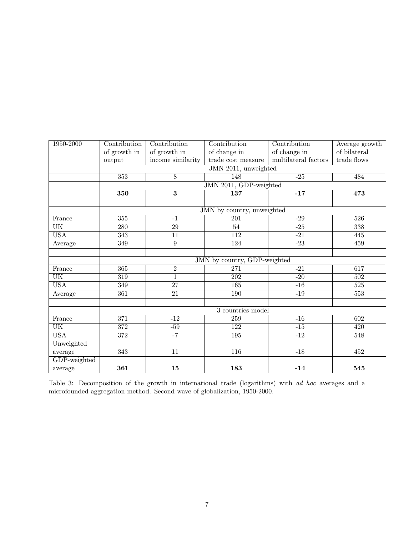| 1950-2000              | Contribution                 | Contribution      | Contribution                          | Contribution         | Average growth                                                                                                              |  |  |  |  |
|------------------------|------------------------------|-------------------|---------------------------------------|----------------------|-----------------------------------------------------------------------------------------------------------------------------|--|--|--|--|
|                        | of growth in                 | of growth in      | of change in                          | of change in         | of bilateral                                                                                                                |  |  |  |  |
|                        | output                       | income similarity | $\operatorname{trade\ cost\ measure}$ | multilateral factors | $\operatorname*{trade}\operatorname*{flows}% \left( \mathcal{A}\right) \equiv\operatorname*{draw}\left( \mathcal{A}\right)$ |  |  |  |  |
|                        | JMN 2011, unweighted         |                   |                                       |                      |                                                                                                                             |  |  |  |  |
|                        | 353                          | $\overline{8}$    | 148                                   | $-25$                | 484                                                                                                                         |  |  |  |  |
|                        | JMN 2011, GDP-weighted       |                   |                                       |                      |                                                                                                                             |  |  |  |  |
|                        | 350                          |                   | 137                                   | $-17$                | 473                                                                                                                         |  |  |  |  |
|                        |                              |                   |                                       |                      |                                                                                                                             |  |  |  |  |
|                        | JMN by country, unweighted   |                   |                                       |                      |                                                                                                                             |  |  |  |  |
| France                 | 355                          | $-1$              | 201                                   | $-29$                | 526                                                                                                                         |  |  |  |  |
| $\overline{\text{UK}}$ | $\overline{280}$             | $\overline{29}$   | $\overline{54}$                       | $-25$                | $\overline{338}$                                                                                                            |  |  |  |  |
| <b>USA</b>             | $\overline{343}$             | $\overline{11}$   | $\overline{112}$                      | $-21$                | 445                                                                                                                         |  |  |  |  |
| Average                | $\overline{349}$             | $\overline{9}$    | 124                                   | $-23$                | 459                                                                                                                         |  |  |  |  |
|                        |                              |                   |                                       |                      |                                                                                                                             |  |  |  |  |
|                        | JMN by country, GDP-weighted |                   |                                       |                      |                                                                                                                             |  |  |  |  |
| France                 | 365                          | $\overline{2}$    | 271                                   | $-21$                | 617                                                                                                                         |  |  |  |  |
| $\overline{\text{UK}}$ | $\overline{319}$             | $\overline{1}$    | $\overline{202}$                      | $-20$                | 502                                                                                                                         |  |  |  |  |
| <b>USA</b>             | 349                          | $\overline{27}$   | 165                                   | $-16$                | 525                                                                                                                         |  |  |  |  |
| Average                | 361                          | $\overline{21}$   | 190                                   | $-19$                | 553                                                                                                                         |  |  |  |  |
|                        |                              |                   |                                       |                      |                                                                                                                             |  |  |  |  |
|                        | 3 countries model            |                   |                                       |                      |                                                                                                                             |  |  |  |  |
| France                 | $\overline{371}$             | $-12$             | 259                                   | $-16$                | 602                                                                                                                         |  |  |  |  |
| <b>UK</b>              | 372                          | $-59$             | 122                                   | $-15$                | 420                                                                                                                         |  |  |  |  |
| <b>USA</b>             | 372                          | $-7$              | 195                                   | $-12$                | 548                                                                                                                         |  |  |  |  |
| Unweighted             |                              |                   |                                       |                      |                                                                                                                             |  |  |  |  |
| average                | 343                          | 11                | 116                                   | $-18$                | 452                                                                                                                         |  |  |  |  |
| GDP-weighted           |                              |                   |                                       |                      |                                                                                                                             |  |  |  |  |
| average                | 361                          | 15                | 183                                   | $-14$                | 545                                                                                                                         |  |  |  |  |

Table 3: Decomposition of the growth in international trade (logarithms) with ad hoc averages and a microfounded aggregation method. Second wave of globalization, 1950-2000.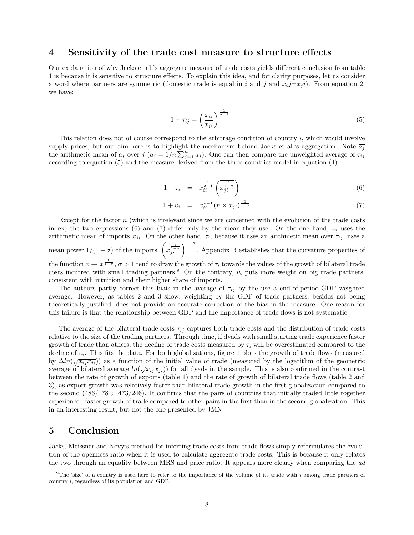#### 4 Sensitivity of the trade cost measure to structure effects

Our explanation of why Jacks et al.'s aggregate measure of trade costs yields different conclusion from table 1 is because it is sensitive to structure effects. To explain this idea, and for clarity purposes, let us consider a word where partners are symmetric (domestic trade is equal in i and j and  $x_i j = x_j i$ ). From equation 2, we have:

$$
1 + \tau_{ij} = \left(\frac{x_{ii}}{x_{ji}}\right)^{\frac{1}{\sigma - 1}}
$$
\n<sup>(5)</sup>

This relation does not of course correspond to the arbitrage condition of country  $i$ , which would involve supply prices, but our aim here is to highlight the mechanism behind Jacks et al.'s aggregation. Note  $\overline{a_j}$ the arithmetic mean of  $a_j$  over  $j$   $(\overline{a_j} = 1/n \sum_{j=1}^n a_j)$ . One can then compare the unweighted average of  $\tau_{ij}$ according to equation (5) and the measure derived from the three-countries model in equation (4):

$$
1 + \tau_i = x_{ii}^{\frac{1}{\sigma - 1}} \left( x_{ji}^{\frac{1}{1 - \sigma}} \right) \tag{6}
$$

$$
1 + v_i = x_{ii}^{\frac{1}{\sigma - 1}} (n \times \overline{x_{ji}})^{\frac{1}{1 - \sigma}}
$$
 (7)

Except for the factor n (which is irrelevant since we are concerned with the evolution of the trade costs index) the two expressions (6) and (7) differ only by the mean they use. On the one hand,  $v_i$  uses the arithmetic mean of imports  $x_{ji}$ . On the other hand,  $\tau_i$ , because it uses an arithmetic mean over  $\tau_{ij}$ , uses a mean power  $1/(1-\sigma)$  of the imports,  $\left(\overline{x_j^{\frac{1}{1-\sigma}}}\right)^{1-\sigma}$ . Appendix B establishes that the curvature properties of the function  $x \to x^{\frac{1}{1-\sigma}}$ ,  $\sigma > 1$  tend to draw the growth of  $\tau_i$  towards the values of the growth of bilateral trade costs incurred with small trading partners.<sup>9</sup> On the contrary,  $v_i$  puts more weight on big trade partners, consistent with intuition and their higher share of imports.

The authors partly correct this biais in the average of  $\tau_{ij}$  by the use a end-of-period-GDP weighted average. However, as tables 2 and 3 show, weighting by the GDP of trade partners, besides not being theoretically justified, does not provide an accurate correction of the bias in the measure. One reason for this failure is that the relationship between GDP and the importance of trade flows is not systematic.

The average of the bilateral trade costs  $\tau_{ij}$  captures both trade costs and the distribution of trade costs relative to the size of the trading partners. Through time, if dyads with small starting trade experience faster growth of trade than others, the decline of trade costs measured by  $\tau_i$  will be overestimated compared to the decline of  $v_i$ . This fits the data. For both globalizations, figure 1 plots the growth of trade flows (measured by  $\Delta ln(\sqrt{x_{ij}x_{ji}})$  as a function of the initial value of trade (measured by the logarithm of the geometric average of bilateral average  $ln(\sqrt{x_{ij}x_{ji}})$  for all dyads in the sample. This is also confirmed in the contrast between the rate of growth of exports (table 1) and the rate of growth of bilateral trade flows (table 2 and 3), as export growth was relatively faster than bilateral trade growth in the first globalization compared to the second  $(486/178 > 473/246)$ . It confirms that the pairs of countries that initially traded little together experienced faster growth of trade compared to other pairs in the first than in the second globalization. This in an interesting result, but not the one presented by JMN.

#### 5 Conclusion

Jacks, Meissner and Novy's method for inferring trade costs from trade flows simply reformulates the evolution of the openness ratio when it is used to calculate aggregate trade costs. This is because it only relates the two through an equality between MRS and price ratio. It appears more clearly when comparing the ad

<sup>&</sup>lt;sup>9</sup>The 'size' of a country is used here to refer to the importance of the volume of its trade with i among trade partners of country i, regardless of its population and GDP.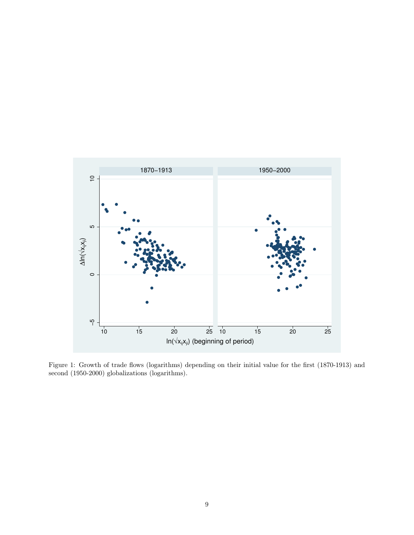

Figure 1: Growth of trade flows (logarithms) depending on their initial value for the first (1870-1913) and second (1950-2000) globalizations (logarithms).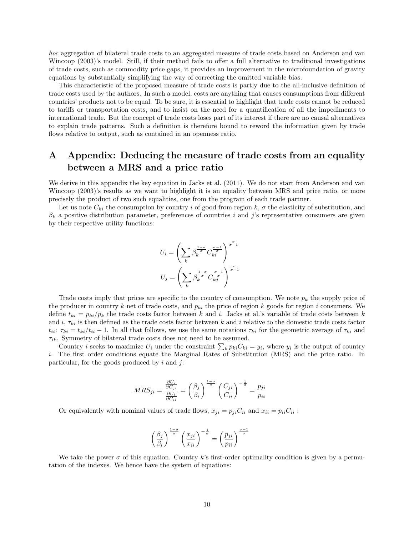hoc aggregation of bilateral trade costs to an aggregated measure of trade costs based on Anderson and van Wincoop (2003)'s model. Still, if their method fails to offer a full alternative to traditional investigations of trade costs, such as commodity price gaps, it provides an improvement in the microfoundation of gravity equations by substantially simplifying the way of correcting the omitted variable bias.

This characteristic of the proposed measure of trade costs is partly due to the all-inclusive definition of trade costs used by the authors. In such a model, costs are anything that causes consumptions from different countries' products not to be equal. To be sure, it is essential to highlight that trade costs cannot be reduced to tariffs or transportation costs, and to insist on the need for a quantification of all the impediments to international trade. But the concept of trade costs loses part of its interest if there are no causal alternatives to explain trade patterns. Such a definition is therefore bound to reword the information given by trade flows relative to output, such as contained in an openness ratio.

## A Appendix: Deducing the measure of trade costs from an equality between a MRS and a price ratio

We derive in this appendix the key equation in Jacks et al. (2011). We do not start from Anderson and van Wincoop (2003)'s results as we want to highlight it is an equality between MRS and price ratio, or more precisely the product of two such equalities, one from the program of each trade partner.

Let us note  $C_{ki}$  the consumption by country i of good from region k,  $\sigma$  the elasticity of substitution, and  $\beta_k$  a positive distribution parameter, preferences of countries i and j's representative consumers are given by their respective utility functions:

$$
U_i = \left(\sum_k \beta_k^{\frac{1-\sigma}{\sigma}} C_{ki}^{\frac{\sigma-1}{\sigma}}\right)^{\frac{\sigma}{\sigma-1}}
$$

$$
U_j = \left(\sum_k \beta_k^{\frac{1-\sigma}{\sigma}} C_{kj}^{\frac{\sigma-1}{\sigma}}\right)^{\frac{\sigma}{\sigma-1}}
$$

Trade costs imply that prices are specific to the country of consumption. We note  $p_k$  the supply price of the producer in country k net of trade costs, and  $p_{ki}$  the price of region k goods for region i consumers. We define  $t_{ki} = p_{ki}/p_k$  the trade costs factor between k and i. Jacks et al.'s variable of trade costs between k and i,  $\tau_{ki}$  is then defined as the trade costs factor between k and i relative to the domestic trade costs factor  $t_{ii}$ :  $\tau_{ki} = t_{ki}/t_{ii} - 1$ . In all that follows, we use the same notations  $\tau_{ki}$  for the geometric average of  $\tau_{ki}$  and  $\tau_{ik}$ . Symmetry of bilateral trade costs does not need to be assumed.

Country *i* seeks to maximize  $U_i$  under the constraint  $\sum_k p_{ki}C_{ki} = y_i$ , where  $y_i$  is the output of country i. The first order conditions equate the Marginal Rates of Substitution (MRS) and the price ratio. In particular, for the goods produced by  $i$  and  $j$ :

$$
MRS_{ji} = \frac{\frac{\partial U_i}{\partial C_{ji}}}{\frac{\partial U_i}{\partial C_{ii}}} = \left(\frac{\beta_j}{\beta_i}\right)^{\frac{1-\sigma}{\sigma}} \left(\frac{C_{ji}}{C_{ii}}\right)^{-\frac{1}{\sigma}} = \frac{p_{ji}}{p_{ii}}
$$

Or equivalently with nominal values of trade flows,  $x_{ji} = p_{ji}C_{ii}$  and  $x_{ii} = p_{ii}C_{ii}$ :

$$
\left(\frac{\beta_j}{\beta_i}\right)^{\frac{1-\sigma}{\sigma}} \left(\frac{x_{ji}}{x_{ii}}\right)^{-\frac{1}{\sigma}} = \left(\frac{p_{ji}}{p_{ii}}\right)^{\frac{\sigma-1}{\sigma}}
$$

We take the power  $\sigma$  of this equation. Country k's first-order optimality condition is given by a permutation of the indexes. We hence have the system of equations: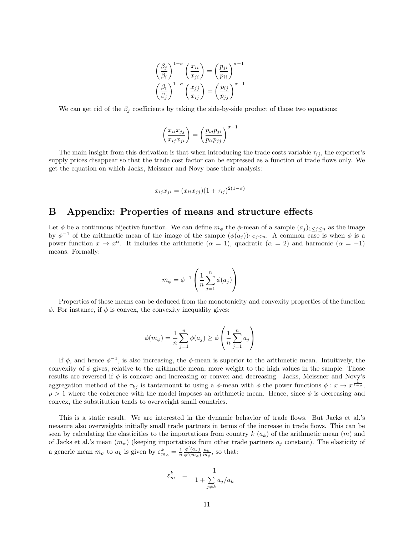$$
\left(\frac{\beta_j}{\beta_i}\right)^{1-\sigma} \left(\frac{x_{ii}}{x_{ji}}\right) = \left(\frac{p_{ji}}{p_{ii}}\right)^{\sigma-1}
$$

$$
\left(\frac{\beta_i}{\beta_j}\right)^{1-\sigma} \left(\frac{x_{jj}}{x_{ij}}\right) = \left(\frac{p_{ij}}{p_{jj}}\right)^{\sigma-1}
$$

We can get rid of the  $\beta_j$  coefficients by taking the side-by-side product of those two equations:

$$
\left(\frac{x_{ii}x_{jj}}{x_{ij}x_{ji}}\right) = \left(\frac{p_{ij}p_{ji}}{p_{ii}p_{jj}}\right)^{\sigma-1}
$$

The main insight from this derivation is that when introducing the trade costs variable  $\tau_{ij}$ , the exporter's supply prices disappear so that the trade cost factor can be expressed as a function of trade flows only. We get the equation on which Jacks, Meissner and Novy base their analysis:

$$
x_{ij}x_{ji} = (x_{ii}x_{jj})(1+\tau_{ij})^{2(1-\sigma)}
$$

#### B Appendix: Properties of means and structure effects

Let  $\phi$  be a continuous bijective function. We can define  $m_{\phi}$  the  $\phi$ -mean of a sample  $(a_j)_{1 \leq j \leq n}$  as the image by  $\phi^{-1}$  of the arithmetic mean of the image of the sample  $(\phi(a_j))_{1 \leq j \leq n}$ . A common case is when  $\phi$  is a power function  $x \to x^{\alpha}$ . It includes the arithmetic  $(\alpha = 1)$ , quadratic  $(\alpha = 2)$  and harmonic  $(\alpha = -1)$ means. Formally:

$$
m_{\phi} = \phi^{-1} \left( \frac{1}{n} \sum_{j=1}^{n} \phi(a_j) \right)
$$

Properties of these means can be deduced from the monotonicity and convexity properties of the function  $\phi$ . For instance, if  $\phi$  is convex, the convexity inequality gives:

$$
\phi(m_{\phi}) = \frac{1}{n} \sum_{j=1}^{n} \phi(a_j) \ge \phi\left(\frac{1}{n} \sum_{j=1}^{n} a_j\right)
$$

If  $\phi$ , and hence  $\phi^{-1}$ , is also increasing, the  $\phi$ -mean is superior to the arithmetic mean. Intuitively, the convexity of  $\phi$  gives, relative to the arithmetic mean, more weight to the high values in the sample. Those results are reversed if  $\phi$  is concave and increasing or convex and decreasing. Jacks, Meissner and Novy's aggregation method of the  $\tau_{kj}$  is tantamount to using a  $\phi$ -mean with  $\phi$  the power functions  $\phi: x \to x^{\frac{1}{1-\rho}}$ ,  $\rho > 1$  where the coherence with the model imposes an arithmetic mean. Hence, since  $\phi$  is decreasing and convex, the substitution tends to overweight small countries.

This is a static result. We are interested in the dynamic behavior of trade flows. But Jacks et al.'s measure also overweights initially small trade partners in terms of the increase in trade flows. This can be seen by calculating the elasticities to the importations from country  $k(a_k)$  of the arithmetic mean  $(m)$  and of Jacks et al.'s mean  $(m_{\sigma})$  (keeping importations from other trade partners  $a_j$  constant). The elasticity of a generic mean  $m_{\sigma}$  to  $a_k$  is given by  $\varepsilon_{m_{\phi}}^k = \frac{1}{n}$  $\frac{\phi'(a_k)}{\phi'(m_\phi)} \frac{a_k}{m_\phi}$ , so that:

$$
\varepsilon_m^k = \frac{1}{1 + \sum_{j \neq k} a_j / a_k}
$$